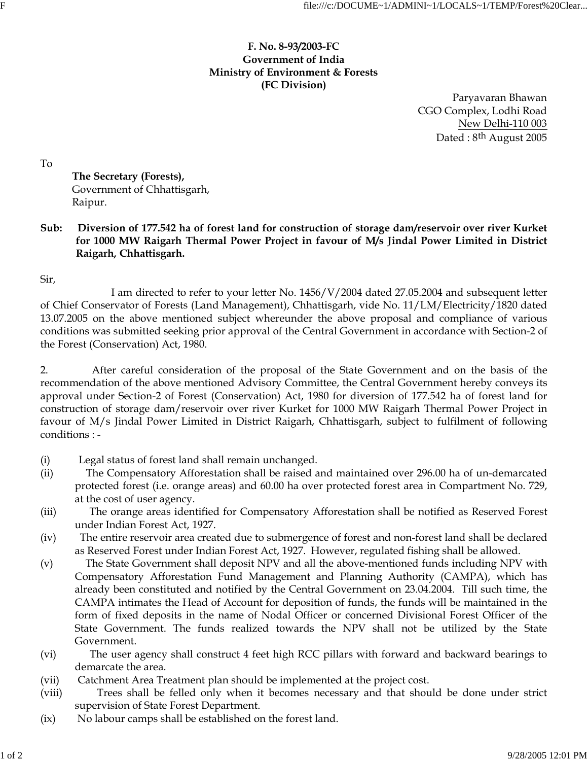## **F. No. 8-93/2003-FC Government of India Ministry of Environment & Forests (FC Division)**

 Paryavaran Bhawan CGO Complex, Lodhi Road New Delhi-110 003 Dated : 8th August 2005

To

 **The Secretary (Forests),** Government of Chhattisgarh, Raipur.

**Sub: Diversion of 177.542 ha of forest land for construction of storage dam/reservoir over river Kurket for 1000 MW Raigarh Thermal Power Project in favour of M/s Jindal Power Limited in District Raigarh, Chhattisgarh.**

Sir,

 I am directed to refer to your letter No. 1456/V/2004 dated 27.05.2004 and subsequent letter of Chief Conservator of Forests (Land Management), Chhattisgarh, vide No. 11/LM/Electricity/1820 dated 13.07.2005 on the above mentioned subject whereunder the above proposal and compliance of various conditions was submitted seeking prior approval of the Central Government in accordance with Section-2 of the Forest (Conservation) Act, 1980.

2. After careful consideration of the proposal of the State Government and on the basis of the recommendation of the above mentioned Advisory Committee, the Central Government hereby conveys its approval under Section-2 of Forest (Conservation) Act, 1980 for diversion of 177.542 ha of forest land for construction of storage dam/reservoir over river Kurket for 1000 MW Raigarh Thermal Power Project in favour of M/s Jindal Power Limited in District Raigarh, Chhattisgarh, subject to fulfilment of following conditions : -

- (i) Legal status of forest land shall remain unchanged.
- (ii) The Compensatory Afforestation shall be raised and maintained over 296.00 ha of un-demarcated protected forest (i.e. orange areas) and 60.00 ha over protected forest area in Compartment No. 729, at the cost of user agency.
- (iii) The orange areas identified for Compensatory Afforestation shall be notified as Reserved Forest under Indian Forest Act, 1927.
- (iv) The entire reservoir area created due to submergence of forest and non-forest land shall be declared as Reserved Forest under Indian Forest Act, 1927. However, regulated fishing shall be allowed.
- (v) The State Government shall deposit NPV and all the above-mentioned funds including NPV with Compensatory Afforestation Fund Management and Planning Authority (CAMPA), which has already been constituted and notified by the Central Government on 23.04.2004. Till such time, the CAMPA intimates the Head of Account for deposition of funds, the funds will be maintained in the form of fixed deposits in the name of Nodal Officer or concerned Divisional Forest Officer of the State Government. The funds realized towards the NPV shall not be utilized by the State Government.
- (vi) The user agency shall construct 4 feet high RCC pillars with forward and backward bearings to demarcate the area.
- (vii) Catchment Area Treatment plan should be implemented at the project cost.
- (viii) Trees shall be felled only when it becomes necessary and that should be done under strict supervision of State Forest Department.
- (ix) No labour camps shall be established on the forest land.